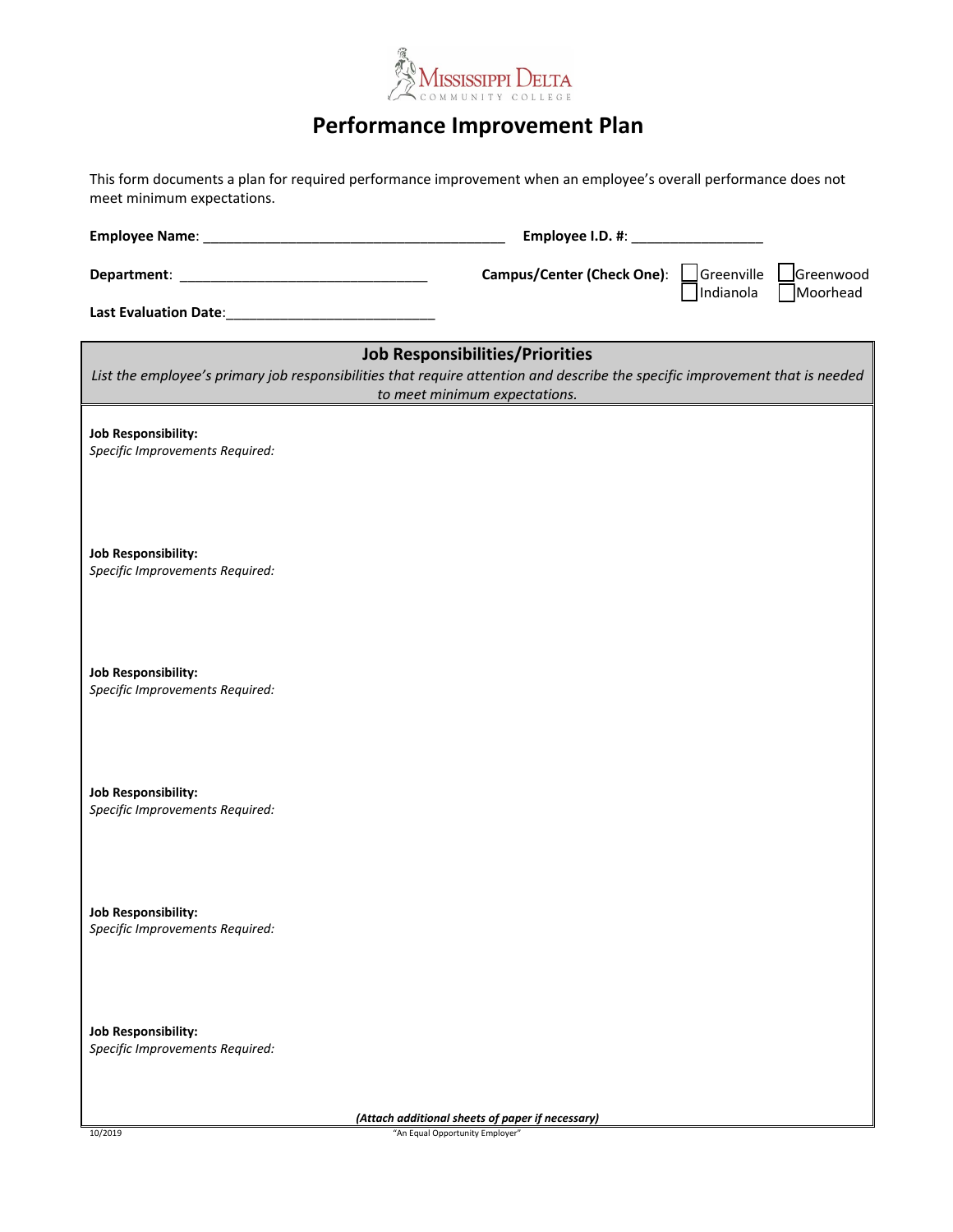

## **Performance Improvement Plan**

This form documents a plan for required performance improvement when an employee's overall performance does not meet minimum expectations.

| meet minimum expectations.                                                                                                                                                                              |                                                 |           |
|---------------------------------------------------------------------------------------------------------------------------------------------------------------------------------------------------------|-------------------------------------------------|-----------|
|                                                                                                                                                                                                         | Employee I.D. #: ___________________            |           |
|                                                                                                                                                                                                         | <b>Campus/Center (Check One):</b><br>Greenville | Greenwood |
|                                                                                                                                                                                                         | Indianola                                       | Moorhead  |
| <b>Job Responsibilities/Priorities</b><br>List the employee's primary job responsibilities that require attention and describe the specific improvement that is needed<br>to meet minimum expectations. |                                                 |           |
| <b>Job Responsibility:</b><br>Specific Improvements Required:                                                                                                                                           |                                                 |           |
| <b>Job Responsibility:</b><br>Specific Improvements Required:                                                                                                                                           |                                                 |           |
| <b>Job Responsibility:</b><br>Specific Improvements Required:                                                                                                                                           |                                                 |           |
| <b>Job Responsibility:</b><br>Specific Improvements Required:                                                                                                                                           |                                                 |           |
| <b>Job Responsibility:</b><br>Specific Improvements Required:                                                                                                                                           |                                                 |           |
| <b>Job Responsibility:</b><br>Specific Improvements Required:                                                                                                                                           |                                                 |           |

*(Attach additional sheets of paper if necessary)*